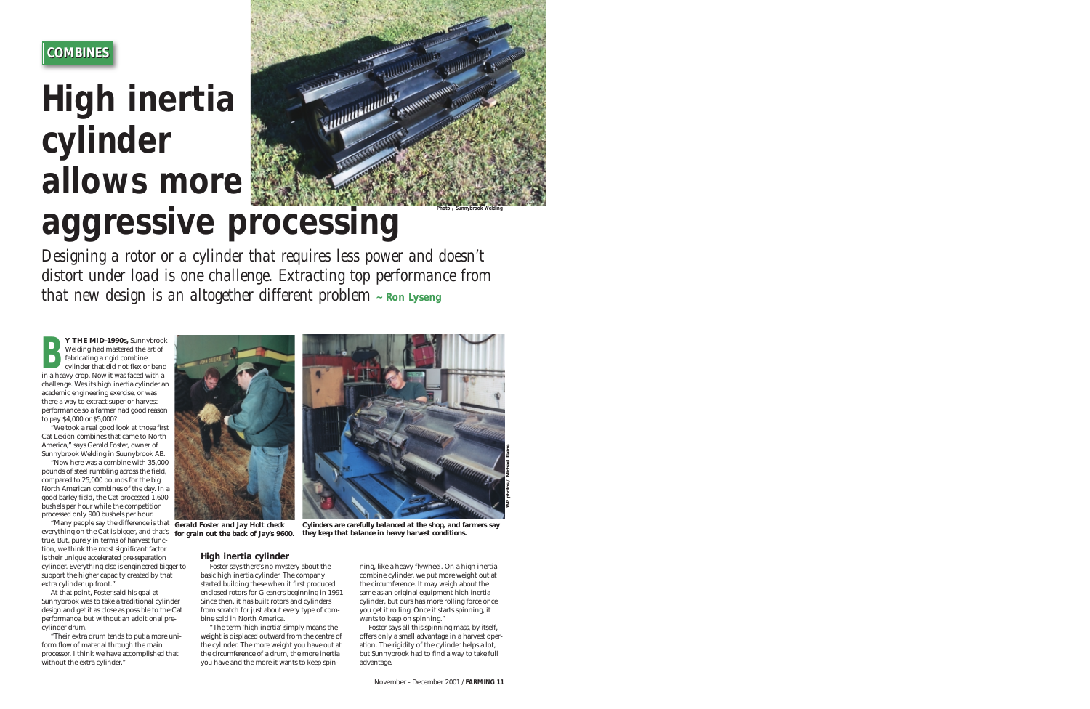### **COMBINES COMBINES**

# **High inertia cylinder allows more aggressive processing**



*Designing a rotor or a cylinder that requires less power and doesn't distort under load is one challenge. Extracting top performance from that new design is an altogether different problem - Ron Lyseng* 

**Y THE MID-1990s,** Sunnybrook Welding had mastered the art of fabricating a rigid combine cylinder that did not flex or bend **EXAMPLE NID-1990S,** Sunny Droom<br>Welding had mastered the art of<br>cylinder that did not flex or beno<br>in a heavy crop. Now it was faced with a challenge. Was its high inertia cylinder an academic engineering exercise, or was there a way to extract superior harvest performance so a farmer had good reason to pay \$4,000 or \$5,000?

"We took a real good look at those first Cat Lexion combines that came to North America," says Gerald Foster, owner of Sunnybrook Welding in Suunybrook AB.

"Now here was a combine with 35,000 pounds of steel rumbling across the field, compared to 25,000 pounds for the big North American combines of the day. In a good barley field, the Cat processed 1,600 bushels per hour while the competition processed only 900 bushels per hour.

"Many people say the difference is that *Gerald Foster and Jay Holt check* everything on the Cat is bigger, and that's *for grain out the back of Jay's 9600.* true. But, purely in terms of harvest function, we think the most significant factor is their unique accelerated pre-separation cylinder. Everything else is engineered bigger to support the higher capacity created by that extra cylinder up front."

At that point, Foster said his goal at Sunnybrook was to take a traditional cylinder design and get it as close as possible to the Cat performance, but without an additional precylinder drum.

"Their extra drum tends to put a more uniform flow of material through the main processor. I think we have accomplished that without the extra cylinder."



*Cylinders are carefully balanced at the shop, and farmers say they keep that balance in heavy harvest conditions.*

### **High inertia cylinder**

Foster says there's no mystery about the basic high inertia cylinder. The company started building these when it first produced enclosed rotors for Gleaners beginning in 1991. Since then, it has built rotors and cylinders from scratch for just about every type of combine sold in North America.

"The term 'high inertia' simply means the weight is displaced outward from the centre of the cylinder. The more weight you have out at the circumference of a drum, the more inertia you have and the more it wants to keep spin-

ning, like a heavy flywheel. On a high inertia combine cylinder, we put more weight out at the circumference. It may weigh about the same as an original equipment high inertia cylinder, but ours has more rolling force once you get it rolling. Once it starts spinning, it wants to keep on spinning.'

*WP photos / Michael Raine*

*Photo / Sunnybrook Welding*

Foster says all this spinning mass, by itself, offers only a small advantage in a harvest operation. The rigidity of the cylinder helps a lot, but Sunnybrook had to find a way to take full advantage.